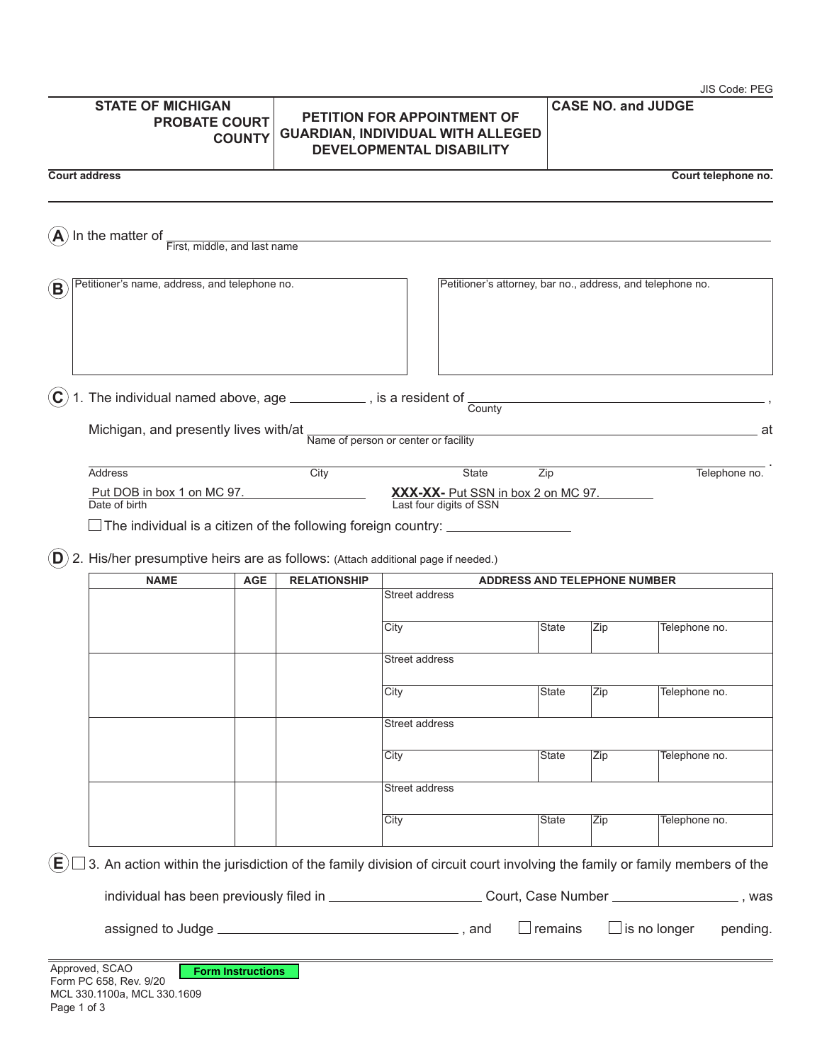| <b>PROBATE COURT</b><br><b>COUNTY</b>                                                                                                  |                     | <b>PETITION FOR APPOINTMENT OF</b><br><b>GUARDIAN, INDIVIDUAL WITH ALLEGED</b><br><b>DEVELOPMENTAL DISABILITY</b> |                | <b>CASE NO. and JUDGE</b> |                                 |  |
|----------------------------------------------------------------------------------------------------------------------------------------|---------------------|-------------------------------------------------------------------------------------------------------------------|----------------|---------------------------|---------------------------------|--|
| <b>Court address</b>                                                                                                                   |                     |                                                                                                                   |                |                           | Court telephone no.             |  |
|                                                                                                                                        |                     |                                                                                                                   |                |                           |                                 |  |
| In the matter of<br>First, middle, and last name                                                                                       |                     |                                                                                                                   |                |                           |                                 |  |
| Petitioner's name, address, and telephone no.<br>$\mathbf B$                                                                           |                     | Petitioner's attorney, bar no., address, and telephone no.                                                        |                |                           |                                 |  |
|                                                                                                                                        |                     |                                                                                                                   |                |                           |                                 |  |
|                                                                                                                                        |                     |                                                                                                                   |                |                           |                                 |  |
|                                                                                                                                        |                     |                                                                                                                   |                |                           |                                 |  |
| 1. The individual named above, age $\frac{1}{\sqrt{1-\frac{1}{n}}}\cos\theta$ , is a resident of $\frac{1}{\cos\theta}$<br>$\mathbf C$ |                     |                                                                                                                   |                |                           |                                 |  |
| Michigan, and presently lives with/at                                                                                                  |                     | Name of person or center or facility                                                                              |                |                           | . at                            |  |
|                                                                                                                                        |                     |                                                                                                                   |                |                           |                                 |  |
| <b>Address</b>                                                                                                                         | City                | State                                                                                                             | Zip            |                           | Telephone no.                   |  |
| Put DOB in box 1 on MC 97.<br>Date of birth                                                                                            |                     | XXX-XX- Put SSN in box 2 on MC 97.<br>Last four digits of SSN                                                     |                |                           |                                 |  |
| $\Box$ The individual is a citizen of the following foreign country: $\Box$                                                            |                     |                                                                                                                   |                |                           |                                 |  |
| 2. His/her presumptive heirs are as follows: (Attach additional page if needed.)<br>D)                                                 |                     |                                                                                                                   |                |                           |                                 |  |
| <b>NAME</b><br><b>AGE</b>                                                                                                              | <b>RELATIONSHIP</b> | <b>ADDRESS AND TELEPHONE NUMBER</b>                                                                               |                |                           |                                 |  |
|                                                                                                                                        |                     | Street address                                                                                                    |                |                           |                                 |  |
|                                                                                                                                        |                     | City                                                                                                              | <b>State</b>   | Zip                       | Telephone no.                   |  |
|                                                                                                                                        |                     | Street address                                                                                                    |                |                           |                                 |  |
|                                                                                                                                        |                     |                                                                                                                   |                |                           |                                 |  |
|                                                                                                                                        |                     | City                                                                                                              | <b>State</b>   | Zip                       | Telephone no.                   |  |
|                                                                                                                                        |                     | Street address                                                                                                    |                |                           |                                 |  |
|                                                                                                                                        |                     | City                                                                                                              | State          | Zip                       | Telephone no.                   |  |
|                                                                                                                                        |                     | Street address                                                                                                    |                |                           |                                 |  |
|                                                                                                                                        |                     | City                                                                                                              | <b>State</b>   | Zip                       | Telephone no.                   |  |
|                                                                                                                                        |                     |                                                                                                                   |                |                           |                                 |  |
| (E)<br>3. An action within the jurisdiction of the family division of circuit court involving the family or family members of the      |                     |                                                                                                                   |                |                           |                                 |  |
| individual has been previously filed in ____________________________Court, Case Number ___________________, was                        |                     |                                                                                                                   |                |                           |                                 |  |
|                                                                                                                                        |                     |                                                                                                                   | $\Box$ remains |                           | $\Box$ is no longer<br>pending. |  |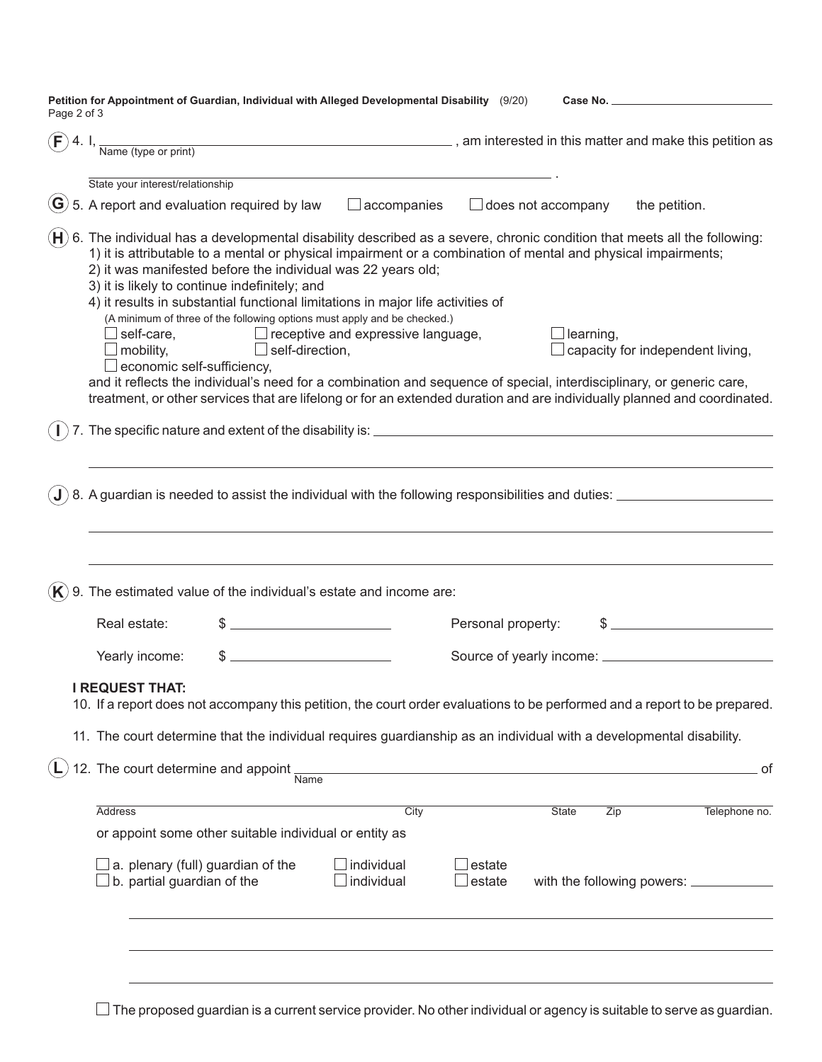| State your interest/relationship<br>5. A report and evaluation required by law<br>$(\mathsf{H})$ 6. The individual has a developmental disability described as a severe, chronic condition that meets all the following:<br>1) it is attributable to a mental or physical impairment or a combination of mental and physical impairments;<br>2) it was manifested before the individual was 22 years old;<br>3) it is likely to continue indefinitely; and<br>4) it results in substantial functional limitations in major life activities of<br>(A minimum of three of the following options must apply and be checked.)<br>self-care,<br>$\Box$ mobility,<br>economic self-sufficiency,<br>and it reflects the individual's need for a combination and sequence of special, interdisciplinary, or generic care,<br>treatment, or other services that are lifelong or for an extended duration and are individually planned and coordinated.<br>8. A guardian is needed to assist the individual with the following responsibilities and duties: ________________ |                                | $\Box$ self-direction,     | $\Box$ receptive and expressive language,                                | $\Box$ accompanies |                                                                                            | $\Box$ does not accompany                                         | $\Box$ learning,            | the petition.<br>capacity for independent living, |                                                                                                                                                                                                                                                   |
|--------------------------------------------------------------------------------------------------------------------------------------------------------------------------------------------------------------------------------------------------------------------------------------------------------------------------------------------------------------------------------------------------------------------------------------------------------------------------------------------------------------------------------------------------------------------------------------------------------------------------------------------------------------------------------------------------------------------------------------------------------------------------------------------------------------------------------------------------------------------------------------------------------------------------------------------------------------------------------------------------------------------------------------------------------------------|--------------------------------|----------------------------|--------------------------------------------------------------------------|--------------------|--------------------------------------------------------------------------------------------|-------------------------------------------------------------------|-----------------------------|---------------------------------------------------|---------------------------------------------------------------------------------------------------------------------------------------------------------------------------------------------------------------------------------------------------|
|                                                                                                                                                                                                                                                                                                                                                                                                                                                                                                                                                                                                                                                                                                                                                                                                                                                                                                                                                                                                                                                                    |                                |                            |                                                                          |                    |                                                                                            |                                                                   |                             |                                                   |                                                                                                                                                                                                                                                   |
|                                                                                                                                                                                                                                                                                                                                                                                                                                                                                                                                                                                                                                                                                                                                                                                                                                                                                                                                                                                                                                                                    |                                |                            |                                                                          |                    |                                                                                            |                                                                   |                             |                                                   |                                                                                                                                                                                                                                                   |
|                                                                                                                                                                                                                                                                                                                                                                                                                                                                                                                                                                                                                                                                                                                                                                                                                                                                                                                                                                                                                                                                    |                                |                            |                                                                          |                    |                                                                                            |                                                                   |                             |                                                   |                                                                                                                                                                                                                                                   |
|                                                                                                                                                                                                                                                                                                                                                                                                                                                                                                                                                                                                                                                                                                                                                                                                                                                                                                                                                                                                                                                                    |                                |                            |                                                                          |                    |                                                                                            |                                                                   |                             |                                                   |                                                                                                                                                                                                                                                   |
|                                                                                                                                                                                                                                                                                                                                                                                                                                                                                                                                                                                                                                                                                                                                                                                                                                                                                                                                                                                                                                                                    |                                |                            |                                                                          |                    |                                                                                            |                                                                   |                             |                                                   |                                                                                                                                                                                                                                                   |
|                                                                                                                                                                                                                                                                                                                                                                                                                                                                                                                                                                                                                                                                                                                                                                                                                                                                                                                                                                                                                                                                    |                                |                            |                                                                          |                    |                                                                                            |                                                                   |                             |                                                   |                                                                                                                                                                                                                                                   |
|                                                                                                                                                                                                                                                                                                                                                                                                                                                                                                                                                                                                                                                                                                                                                                                                                                                                                                                                                                                                                                                                    |                                |                            |                                                                          |                    |                                                                                            |                                                                   |                             |                                                   |                                                                                                                                                                                                                                                   |
| Yearly income:                                                                                                                                                                                                                                                                                                                                                                                                                                                                                                                                                                                                                                                                                                                                                                                                                                                                                                                                                                                                                                                     |                                |                            |                                                                          |                    |                                                                                            |                                                                   |                             |                                                   |                                                                                                                                                                                                                                                   |
| <b>I REQUEST THAT:</b>                                                                                                                                                                                                                                                                                                                                                                                                                                                                                                                                                                                                                                                                                                                                                                                                                                                                                                                                                                                                                                             |                                | Name                       |                                                                          |                    |                                                                                            |                                                                   |                             |                                                   | οf                                                                                                                                                                                                                                                |
|                                                                                                                                                                                                                                                                                                                                                                                                                                                                                                                                                                                                                                                                                                                                                                                                                                                                                                                                                                                                                                                                    |                                |                            |                                                                          |                    |                                                                                            |                                                                   |                             |                                                   | Telephone no.                                                                                                                                                                                                                                     |
|                                                                                                                                                                                                                                                                                                                                                                                                                                                                                                                                                                                                                                                                                                                                                                                                                                                                                                                                                                                                                                                                    |                                |                            |                                                                          |                    |                                                                                            |                                                                   |                             |                                                   |                                                                                                                                                                                                                                                   |
|                                                                                                                                                                                                                                                                                                                                                                                                                                                                                                                                                                                                                                                                                                                                                                                                                                                                                                                                                                                                                                                                    |                                |                            |                                                                          |                    | estate<br>estate                                                                           |                                                                   |                             |                                                   |                                                                                                                                                                                                                                                   |
|                                                                                                                                                                                                                                                                                                                                                                                                                                                                                                                                                                                                                                                                                                                                                                                                                                                                                                                                                                                                                                                                    | Real estate:<br><b>Address</b> | b. partial guardian of the | 12. The court determine and appoint<br>a. plenary (full) guardian of the |                    | City<br>or appoint some other suitable individual or entity as<br>individual<br>individual | 9. The estimated value of the individual's estate and income are: | Personal property:<br>State | Zip                                               | 10. If a report does not accompany this petition, the court order evaluations to be performed and a report to be prepared.<br>11. The court determine that the individual requires guardianship as an individual with a developmental disability. |

 $\Box$  The proposed guardian is a current service provider. No other individual or agency is suitable to serve as guardian.